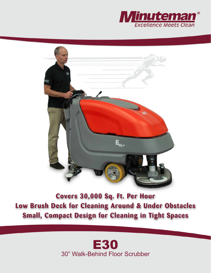



**Covers 30,000 Sq. Ft. Per Hour Low Brush Deck for Cleaning Around & Under Obstacles Small, Compact Design for Cleaning in Tight Spaces**